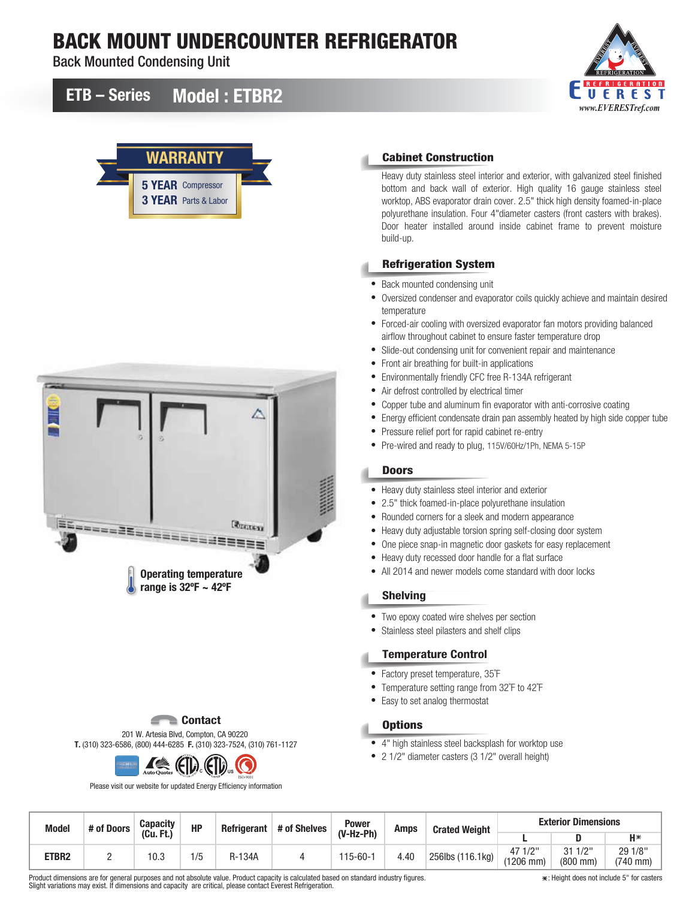# BACK MOUNT UNDERCOUNTER REFRIGERATOR

Back Mounted Condensing Unit

## ETB – Series Model : ETBR2







### Cabinet Construction

Heavy duty stainless steel interior and exterior, with galvanized steel finished bottom and back wall of exterior. High quality 16 gauge stainless steel worktop, ABS evaporator drain cover. 2.5" thick high density foamed-in-place polyurethane insulation. Four 4"diameter casters (front casters with brakes). Door heater installed around inside cabinet frame to prevent moisture build-up.

#### Refrigeration System

- Back mounted condensing unit
- Oversized condenser and evaporator coils quickly achieve and maintain desired temperature
- Forced-air cooling with oversized evaporator fan motors providing balanced airflow throughout cabinet to ensure faster temperature drop
- Slide-out condensing unit for convenient repair and maintenance
- Front air breathing for built-in applications
- Environmentally friendly CFC free R-134A refrigerant
- Air defrost controlled by electrical timer
- Copper tube and aluminum fin evaporator with anti-corrosive coating
- Energy efficient condensate drain pan assembly heated by high side copper tube
- Pressure relief port for rapid cabinet re-entry
- Pre-wired and ready to plug, 115V/60Hz/1Ph, NEMA 5-15P

### **Doors**

- Heavy duty stainless steel interior and exterior
- 2.5" thick foamed-in-place polyurethane insulation
- Rounded corners for a sleek and modern appearance
- Heavy duty adjustable torsion spring self-closing door system
- One piece snap-in magnetic door gaskets for easy replacement
- Heavy duty recessed door handle for a flat surface
- All 2014 and newer models come standard with door locks

### Shelving

- Two epoxy coated wire shelves per section
- Stainless steel pilasters and shelf clips

### Temperature Control

- Factory preset temperature, 35˚F
- Temperature setting range from 32˚F to 42˚F
- Easy to set analog thermostat

### **Options**

- 4" high stainless steel backsplash for worktop use
- 2 1/2" diameter casters (3 1/2" overall height)

| <b>Model</b> | # of Doors | <b>Capacity</b> | <b>HP</b> | <b>Refrigerant</b> | # of Shelves | <b>Power</b> | Amps | <b>Crated Weight</b> | <b>Exterior Dimensions</b> |                                    |                       |
|--------------|------------|-----------------|-----------|--------------------|--------------|--------------|------|----------------------|----------------------------|------------------------------------|-----------------------|
|              |            | (Cu.<br>Ft.)    |           |                    |              | $(V-Hz-Ph)$  |      |                      |                            |                                    | $H*$                  |
| ETBR2        |            | 10.3            | 1/5       | R-134A             |              | 115-60-1     | 4.40 | 256lbs (116.1kg)     | 47 1/2"<br>$(1206$ mm)     | 1/2"<br>۹1<br>$(800 \, \text{mm})$ | 29 1/8"<br>$(740$ mm) |

Product dimensions are for general purposes and not absolute value. Product capacity is calculated based on standard industry figures. Slight variations may exist. If dimensions and capacity are critical, please contact Everest Refrigeration.

ISO-9001 **US**

Please visit our website for updated Energy Efficiency information

201 W. Artesia Blvd, Compton, CA 90220 T. (310) 323-6586, (800) 444-6285 F. (310) 323-7524, (310) 761-1127

**Contact** 

*I* (FI) (F

: Height does not include 5" for casters